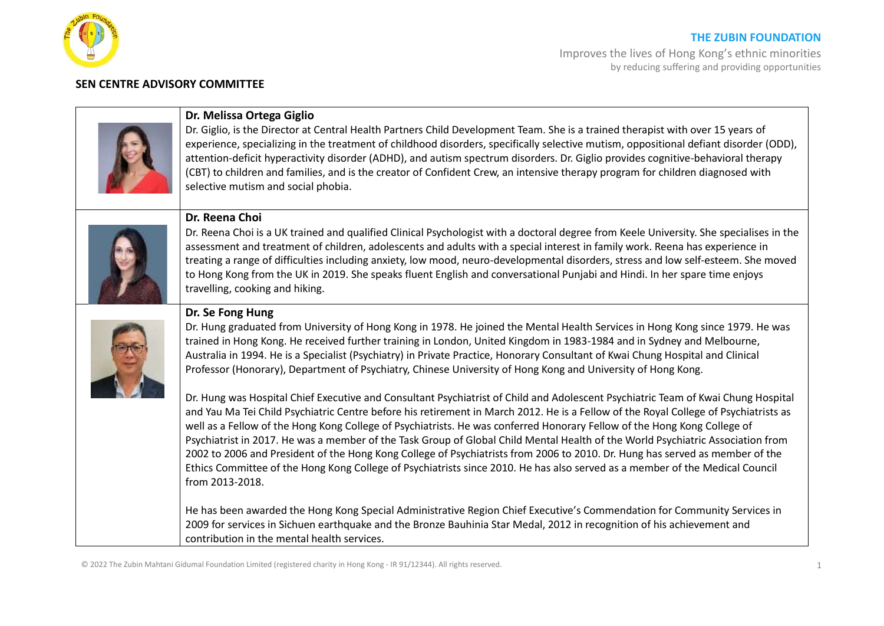

### **THE ZUBIN FOUNDATION**

Improves the lives of Hong Kong's ethnic minorities by reducing suffering and providing opportunities

### **SEN CENTRE ADVISORY COMMITTEE**

# **Dr. Melissa Ortega Giglio**

Dr. Giglio, is the Director at Central Health Partners Child Development Team. She is a trained therapist with over 15 years of experience, specializing in the treatment of childhood disorders, specifically selective mutism, oppositional defiant disorder (ODD), attention-deficit hyperactivity disorder (ADHD), and autism spectrum disorders. Dr. Giglio provides cognitive-behavioral therapy (CBT) to children and families, and is the creator of Confident Crew, an intensive therapy program for children diagnosed with selective mutism and social phobia.

## **Dr. Reena Choi**

Dr. Reena Choi is a UK trained and qualified Clinical Psychologist with a doctoral degree from Keele University. She specialises in the assessment and treatment of children, adolescents and adults with a special interest in family work. Reena has experience in treating a range of difficulties including anxiety, low mood, neuro-developmental disorders, stress and low self-esteem. She moved to Hong Kong from the UK in 2019. She speaks fluent English and conversational Punjabi and Hindi. In her spare time enjoys travelling, cooking and hiking.

## **Dr. Se Fong Hung**

Dr. Hung graduated from University of Hong Kong in 1978. He joined the Mental Health Services in Hong Kong since 1979. He was trained in Hong Kong. He received further training in London, United Kingdom in 1983-1984 and in Sydney and Melbourne, Australia in 1994. He is a Specialist (Psychiatry) in Private Practice, Honorary Consultant of Kwai Chung Hospital and Clinical Professor (Honorary), Department of Psychiatry, Chinese University of Hong Kong and University of Hong Kong.

Dr. Hung was Hospital Chief Executive and Consultant Psychiatrist of Child and Adolescent Psychiatric Team of Kwai Chung Hospital and Yau Ma Tei Child Psychiatric Centre before his retirement in March 2012. He is a Fellow of the Royal College of Psychiatrists as well as a Fellow of the Hong Kong College of Psychiatrists. He was conferred Honorary Fellow of the Hong Kong College of Psychiatrist in 2017. He was a member of the Task Group of Global Child Mental Health of the World Psychiatric Association from 2002 to 2006 and President of the Hong Kong College of Psychiatrists from 2006 to 2010. Dr. Hung has served as member of the Ethics Committee of the Hong Kong College of Psychiatrists since 2010. He has also served as a member of the Medical Council from 2013-2018.

He has been awarded the Hong Kong Special Administrative Region Chief Executive's Commendation for Community Services in 2009 for services in Sichuen earthquake and the Bronze Bauhinia Star Medal, 2012 in recognition of his achievement and contribution in the mental health services.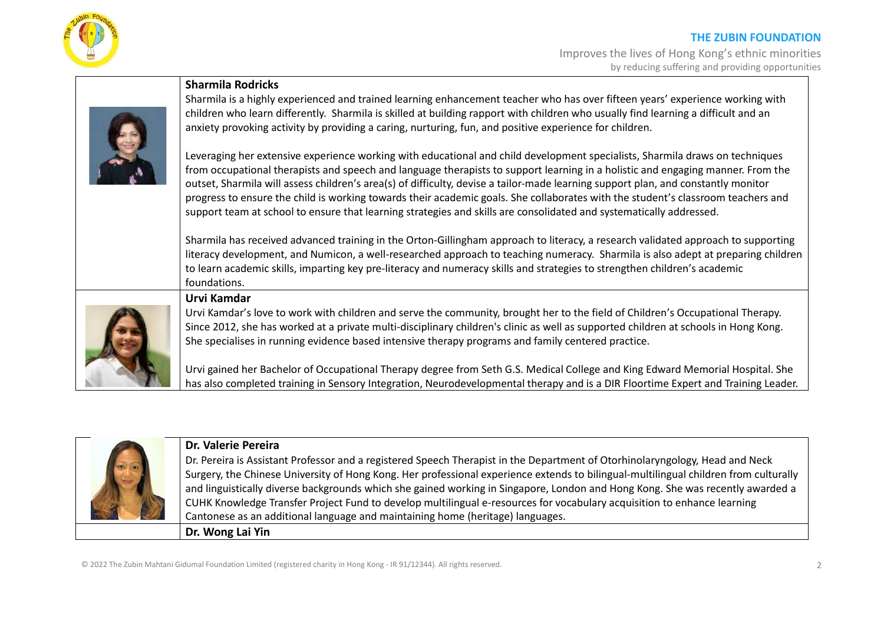



Sharmila is a highly experienced and trained learning enhancement teacher who has over fifteen years' experience working with children who learn differently. Sharmila is skilled at building rapport with children who usually find learning a difficult and an anxiety provoking activity by providing a caring, nurturing, fun, and positive experience for children.

Leveraging her extensive experience working with educational and child development specialists, Sharmila draws on techniques from occupational therapists and speech and language therapists to support learning in a holistic and engaging manner. From the outset, Sharmila will assess children's area(s) of difficulty, devise a tailor-made learning support plan, and constantly monitor progress to ensure the child is working towards their academic goals. She collaborates with the student's classroom teachers and support team at school to ensure that learning strategies and skills are consolidated and systematically addressed.

Sharmila has received advanced training in the Orton-Gillingham approach to literacy, a research validated approach to supporting literacy development, and Numicon, a well-researched approach to teaching numeracy. Sharmila is also adept at preparing children to learn academic skills, imparting key pre-literacy and numeracy skills and strategies to strengthen children's academic foundations.



**Urvi Kamdar**

**Sharmila Rodricks**

Urvi Kamdar's love to work with children and serve the community, brought her to the field of Children's Occupational Therapy. Since 2012, she has worked at a private multi-disciplinary children's clinic as well as supported children at schools in Hong Kong. She specialises in running evidence based intensive therapy programs and family centered practice.

Urvi gained her Bachelor of Occupational Therapy degree from Seth G.S. Medical College and King Edward Memorial Hospital. She has also completed training in Sensory Integration, Neurodevelopmental therapy and is a DIR Floortime Expert and Training Leader.

|           | Dr. Valerie Pereira                                                                                                                  |
|-----------|--------------------------------------------------------------------------------------------------------------------------------------|
| $\bullet$ | Dr. Pereira is Assistant Professor and a registered Speech Therapist in the Department of Otorhinolaryngology, Head and Neck         |
|           | Surgery, the Chinese University of Hong Kong. Her professional experience extends to bilingual-multilingual children from culturally |
|           | and linguistically diverse backgrounds which she gained working in Singapore, London and Hong Kong. She was recently awarded a       |
|           | CUHK Knowledge Transfer Project Fund to develop multilingual e-resources for vocabulary acquisition to enhance learning              |
|           | Cantonese as an additional language and maintaining home (heritage) languages.                                                       |
|           | Dr. Wong Lai Yin                                                                                                                     |